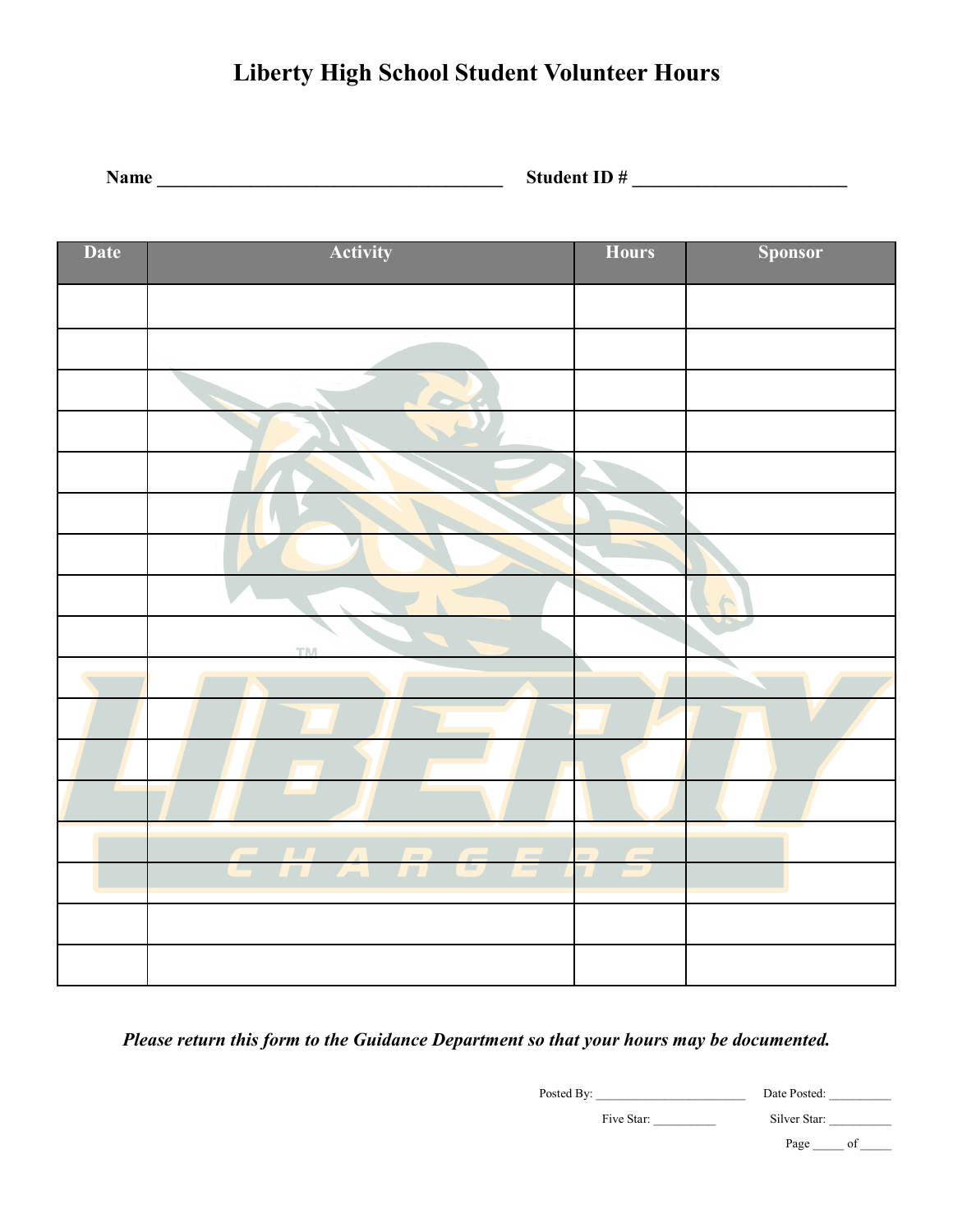# **Liberty High School Student Volunteer Hours**

**Name \_\_\_\_\_\_\_\_\_\_\_\_\_\_\_\_\_\_\_\_\_\_\_\_\_\_\_\_\_\_\_\_\_\_\_\_\_ Student ID # \_\_\_\_\_\_\_\_\_\_\_\_\_\_\_\_\_\_\_\_\_\_\_**

| <b>Date</b> | Activity  | <b>Hours</b> | <b>Sponsor</b> |
|-------------|-----------|--------------|----------------|
|             |           |              |                |
|             |           |              |                |
|             |           |              |                |
|             |           |              |                |
|             |           |              |                |
|             |           |              |                |
|             |           |              |                |
|             |           |              |                |
|             | <b>TM</b> |              |                |
|             |           |              |                |
|             |           |              |                |
|             |           |              |                |
|             |           |              |                |
|             | CHARGERS  |              |                |
|             |           |              |                |
|             |           |              |                |
|             |           |              |                |

*Please return this form to the Guidance Department so that your hours may be documented.*

Posted By: \_\_\_\_\_\_\_\_\_\_\_\_\_\_\_\_\_\_\_\_\_\_\_\_ Date Posted: \_\_\_\_\_\_\_\_\_\_

Five Star: \_\_\_\_\_\_\_\_\_\_ Silver Star: \_\_\_\_\_\_\_\_\_\_

Page \_\_\_\_\_\_ of \_\_\_\_\_\_